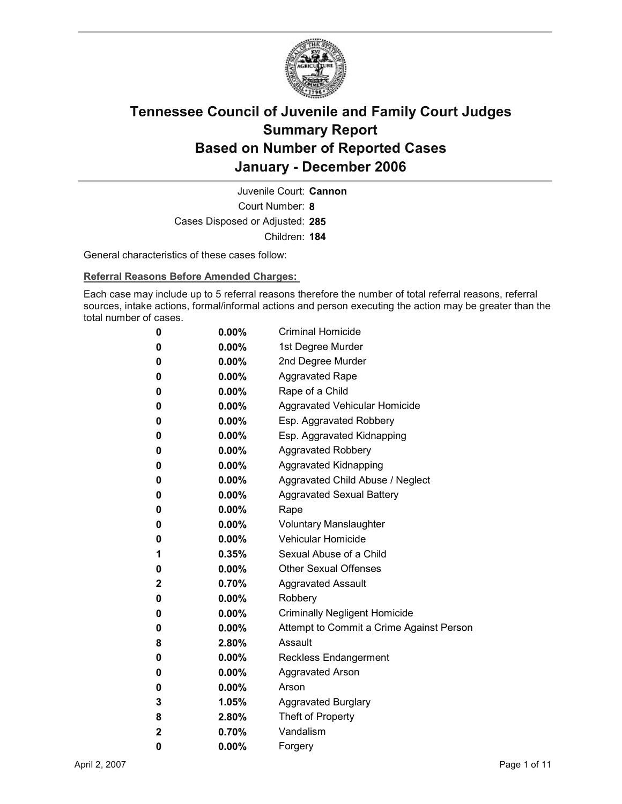

Court Number: **8** Juvenile Court: **Cannon** Cases Disposed or Adjusted: **285** Children: **184**

General characteristics of these cases follow:

**Referral Reasons Before Amended Charges:** 

Each case may include up to 5 referral reasons therefore the number of total referral reasons, referral sources, intake actions, formal/informal actions and person executing the action may be greater than the total number of cases.

| 0 | $0.00\%$ | <b>Criminal Homicide</b>                 |
|---|----------|------------------------------------------|
| 0 | $0.00\%$ | 1st Degree Murder                        |
| 0 | $0.00\%$ | 2nd Degree Murder                        |
| 0 | $0.00\%$ | <b>Aggravated Rape</b>                   |
| 0 | $0.00\%$ | Rape of a Child                          |
| 0 | $0.00\%$ | Aggravated Vehicular Homicide            |
| 0 | $0.00\%$ | Esp. Aggravated Robbery                  |
| 0 | $0.00\%$ | Esp. Aggravated Kidnapping               |
| 0 | 0.00%    | <b>Aggravated Robbery</b>                |
| 0 | $0.00\%$ | <b>Aggravated Kidnapping</b>             |
| 0 | $0.00\%$ | Aggravated Child Abuse / Neglect         |
| 0 | $0.00\%$ | <b>Aggravated Sexual Battery</b>         |
| 0 | $0.00\%$ | Rape                                     |
| 0 | $0.00\%$ | <b>Voluntary Manslaughter</b>            |
| 0 | $0.00\%$ | <b>Vehicular Homicide</b>                |
| 1 | 0.35%    | Sexual Abuse of a Child                  |
| 0 | $0.00\%$ | <b>Other Sexual Offenses</b>             |
| 2 | 0.70%    | <b>Aggravated Assault</b>                |
| 0 | 0.00%    | Robbery                                  |
| 0 | $0.00\%$ | <b>Criminally Negligent Homicide</b>     |
| 0 | $0.00\%$ | Attempt to Commit a Crime Against Person |
| 8 | 2.80%    | Assault                                  |
| 0 | $0.00\%$ | <b>Reckless Endangerment</b>             |
| 0 | $0.00\%$ | <b>Aggravated Arson</b>                  |
| 0 | $0.00\%$ | Arson                                    |
| 3 | 1.05%    | <b>Aggravated Burglary</b>               |
| 8 | 2.80%    | Theft of Property                        |
| 2 | 0.70%    | Vandalism                                |
| 0 | 0.00%    | Forgery                                  |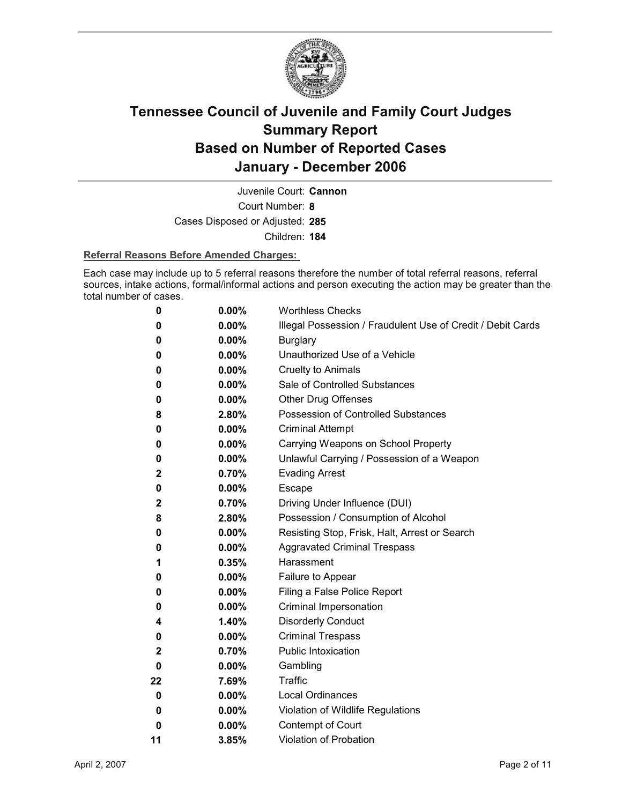

Juvenile Court: **Cannon**

Court Number: **8**

Cases Disposed or Adjusted: **285**

Children: **184**

#### **Referral Reasons Before Amended Charges:**

Each case may include up to 5 referral reasons therefore the number of total referral reasons, referral sources, intake actions, formal/informal actions and person executing the action may be greater than the total number of cases.

| 0            | 0.00%    | <b>Worthless Checks</b>                                     |
|--------------|----------|-------------------------------------------------------------|
| 0            | $0.00\%$ | Illegal Possession / Fraudulent Use of Credit / Debit Cards |
| 0            | 0.00%    | <b>Burglary</b>                                             |
| 0            | 0.00%    | Unauthorized Use of a Vehicle                               |
| 0            | $0.00\%$ | <b>Cruelty to Animals</b>                                   |
| 0            | $0.00\%$ | Sale of Controlled Substances                               |
| 0            | $0.00\%$ | <b>Other Drug Offenses</b>                                  |
| 8            | 2.80%    | Possession of Controlled Substances                         |
| 0            | $0.00\%$ | <b>Criminal Attempt</b>                                     |
| 0            | $0.00\%$ | Carrying Weapons on School Property                         |
| 0            | $0.00\%$ | Unlawful Carrying / Possession of a Weapon                  |
| $\mathbf{2}$ | 0.70%    | <b>Evading Arrest</b>                                       |
| 0            | $0.00\%$ | Escape                                                      |
| $\mathbf{2}$ | 0.70%    | Driving Under Influence (DUI)                               |
| 8            | 2.80%    | Possession / Consumption of Alcohol                         |
| 0            | $0.00\%$ | Resisting Stop, Frisk, Halt, Arrest or Search               |
| 0            | $0.00\%$ | <b>Aggravated Criminal Trespass</b>                         |
| 1            | 0.35%    | Harassment                                                  |
| 0            | $0.00\%$ | Failure to Appear                                           |
| 0            | $0.00\%$ | Filing a False Police Report                                |
| 0            | $0.00\%$ | Criminal Impersonation                                      |
| 4            | 1.40%    | <b>Disorderly Conduct</b>                                   |
| 0            | 0.00%    | <b>Criminal Trespass</b>                                    |
| 2            | 0.70%    | <b>Public Intoxication</b>                                  |
| 0            | 0.00%    | Gambling                                                    |
| 22           | 7.69%    | Traffic                                                     |
| 0            | 0.00%    | <b>Local Ordinances</b>                                     |
| 0            | $0.00\%$ | Violation of Wildlife Regulations                           |
| 0            | 0.00%    | Contempt of Court                                           |
| 11           | 3.85%    | Violation of Probation                                      |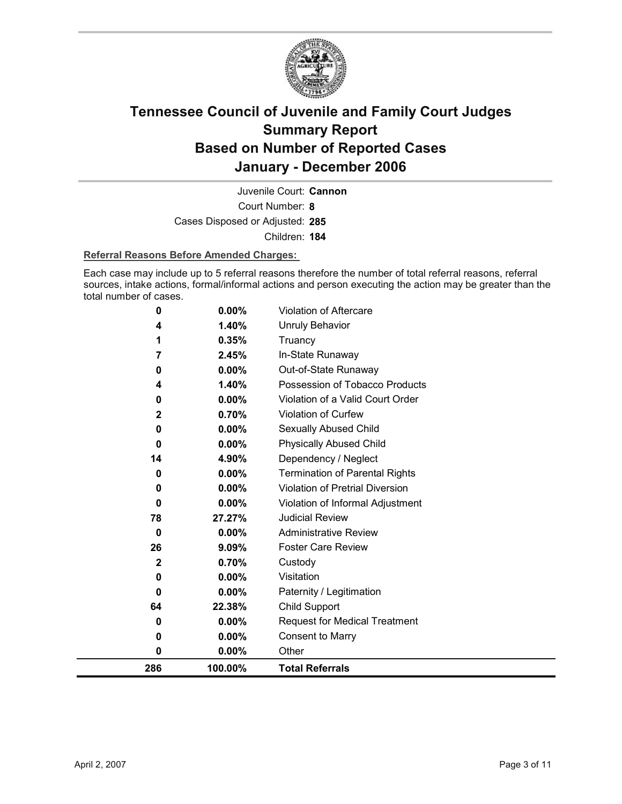

Court Number: **8** Juvenile Court: **Cannon** Cases Disposed or Adjusted: **285** Children: **184**

#### **Referral Reasons Before Amended Charges:**

Each case may include up to 5 referral reasons therefore the number of total referral reasons, referral sources, intake actions, formal/informal actions and person executing the action may be greater than the total number of cases.

| 286         | 100.00%        | <b>Total Referrals</b>                                 |
|-------------|----------------|--------------------------------------------------------|
| 0           | 0.00%          | Other                                                  |
| 0           | $0.00\%$       | <b>Consent to Marry</b>                                |
| 0           | $0.00\%$       | <b>Request for Medical Treatment</b>                   |
| 64          | 22.38%         | Child Support                                          |
| 0           | 0.00%          | Paternity / Legitimation                               |
| 0           | $0.00\%$       | Visitation                                             |
| $\mathbf 2$ | 0.70%          | Custody                                                |
| 26          | 9.09%          | <b>Foster Care Review</b>                              |
| 0           | 0.00%          | <b>Administrative Review</b>                           |
| 78          | 27.27%         | <b>Judicial Review</b>                                 |
| 0           | 0.00%          | Violation of Informal Adjustment                       |
| 0           | 0.00%          | Violation of Pretrial Diversion                        |
| 0           | 0.00%          | <b>Termination of Parental Rights</b>                  |
| 14          | 4.90%          | Dependency / Neglect                                   |
| $\bf{0}$    | $0.00\%$       | <b>Physically Abused Child</b>                         |
| 0           | 0.00%          | Sexually Abused Child                                  |
| 2           | 0.70%          | Violation of Curfew                                    |
| 0           | 0.00%          | Violation of a Valid Court Order                       |
| 0<br>4      | 0.00%<br>1.40% | Out-of-State Runaway<br>Possession of Tobacco Products |
| 7           | 2.45%          | In-State Runaway                                       |
| 1           | 0.35%          | Truancy                                                |
| 4           | 1.40%          | <b>Unruly Behavior</b>                                 |
|             |                |                                                        |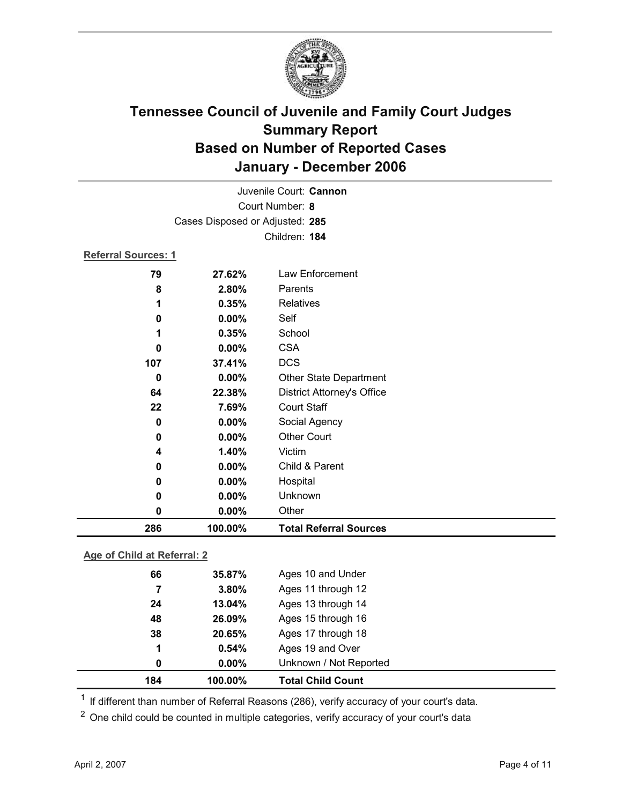

| Juvenile Court: Cannon |                                 |                                   |  |  |
|------------------------|---------------------------------|-----------------------------------|--|--|
| Court Number: 8        |                                 |                                   |  |  |
|                        | Cases Disposed or Adjusted: 285 |                                   |  |  |
|                        |                                 | Children: 184                     |  |  |
|                        | <b>Referral Sources: 1</b>      |                                   |  |  |
| 79                     | 27.62%                          | Law Enforcement                   |  |  |
| 8                      | 2.80%                           | Parents                           |  |  |
| 1                      | 0.35%                           | Relatives                         |  |  |
| 0                      | 0.00%                           | Self                              |  |  |
| 1                      | 0.35%                           | School                            |  |  |
| 0                      | 0.00%                           | <b>CSA</b>                        |  |  |
| 107                    | 37.41%                          | <b>DCS</b>                        |  |  |
| 0                      | 0.00%                           | Other State Department            |  |  |
| 64                     | 22.38%                          | <b>District Attorney's Office</b> |  |  |
| 22                     | 7.69%                           | <b>Court Staff</b>                |  |  |
| 0                      | 0.00%                           | Social Agency                     |  |  |
| 0                      | 0.00%                           | <b>Other Court</b>                |  |  |
| 4                      | 1.40%                           | Victim                            |  |  |
| 0                      | 0.00%                           | Child & Parent                    |  |  |
| 0                      | 0.00%                           | Hospital                          |  |  |
| 0                      | 0.00%                           | Unknown                           |  |  |
| 0                      | 0.00%                           | Other                             |  |  |
| 286                    | 100.00%                         | <b>Total Referral Sources</b>     |  |  |

### **Age of Child at Referral: 2**

| 184 | 100.00%  | <b>Total Child Count</b> |
|-----|----------|--------------------------|
| 0   | $0.00\%$ | Unknown / Not Reported   |
| 1   | 0.54%    | Ages 19 and Over         |
| 38  | 20.65%   | Ages 17 through 18       |
| 48  | 26.09%   | Ages 15 through 16       |
| 24  | 13.04%   | Ages 13 through 14       |
| 7   | 3.80%    | Ages 11 through 12       |
| 66  | 35.87%   | Ages 10 and Under        |
|     |          |                          |

<sup>1</sup> If different than number of Referral Reasons (286), verify accuracy of your court's data.

<sup>2</sup> One child could be counted in multiple categories, verify accuracy of your court's data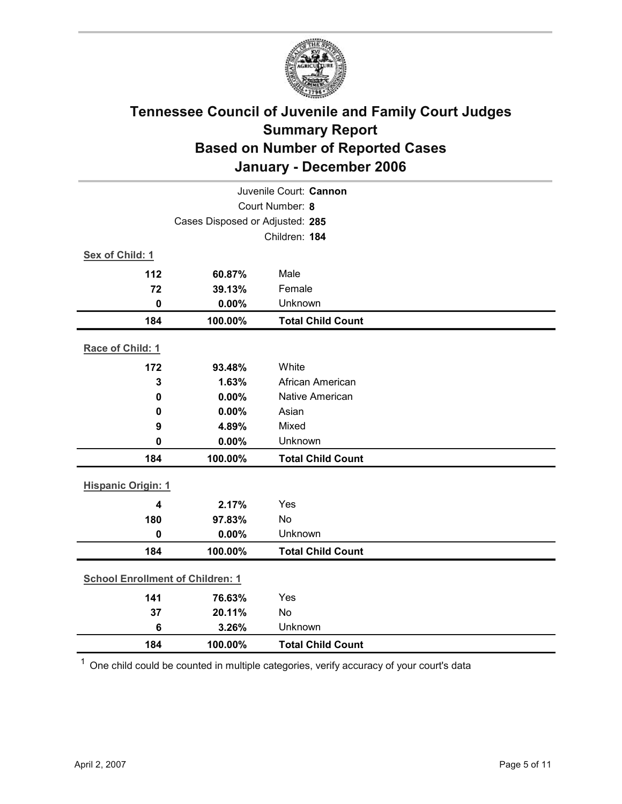

| Juvenile Court: Cannon                  |         |                          |  |  |  |
|-----------------------------------------|---------|--------------------------|--|--|--|
| Court Number: 8                         |         |                          |  |  |  |
| Cases Disposed or Adjusted: 285         |         |                          |  |  |  |
|                                         |         | Children: 184            |  |  |  |
| Sex of Child: 1                         |         |                          |  |  |  |
| 112                                     | 60.87%  | Male                     |  |  |  |
| 72                                      | 39.13%  | Female                   |  |  |  |
| $\mathbf 0$                             | 0.00%   | Unknown                  |  |  |  |
| 184                                     | 100.00% | <b>Total Child Count</b> |  |  |  |
| Race of Child: 1                        |         |                          |  |  |  |
| 172                                     | 93.48%  | White                    |  |  |  |
| 3                                       | 1.63%   | African American         |  |  |  |
| $\pmb{0}$                               | 0.00%   | <b>Native American</b>   |  |  |  |
| 0                                       | 0.00%   | Asian                    |  |  |  |
| 9                                       | 4.89%   | Mixed                    |  |  |  |
| 0                                       | 0.00%   | Unknown                  |  |  |  |
| 184                                     | 100.00% | <b>Total Child Count</b> |  |  |  |
| <b>Hispanic Origin: 1</b>               |         |                          |  |  |  |
| $\overline{\mathbf{4}}$                 | 2.17%   | Yes                      |  |  |  |
| 180                                     | 97.83%  | <b>No</b>                |  |  |  |
| $\mathbf 0$                             | 0.00%   | Unknown                  |  |  |  |
| 184                                     | 100.00% | <b>Total Child Count</b> |  |  |  |
| <b>School Enrollment of Children: 1</b> |         |                          |  |  |  |
| 141                                     | 76.63%  | Yes                      |  |  |  |
| 37                                      | 20.11%  | No                       |  |  |  |
| $6\phantom{1}$                          | 3.26%   | Unknown                  |  |  |  |
| 184                                     | 100.00% | <b>Total Child Count</b> |  |  |  |

 $1$  One child could be counted in multiple categories, verify accuracy of your court's data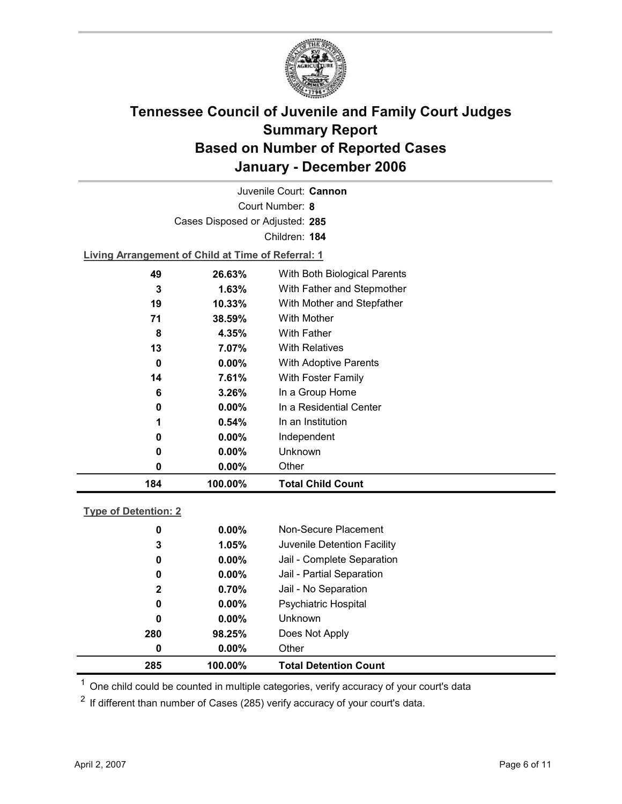

Court Number: **8** Juvenile Court: **Cannon** Cases Disposed or Adjusted: **285** Children: **184**

**Living Arrangement of Child at Time of Referral: 1**

| 184 | 100.00%  | <b>Total Child Count</b>     |
|-----|----------|------------------------------|
| 0   | $0.00\%$ | Other                        |
| 0   | $0.00\%$ | Unknown                      |
| 0   | $0.00\%$ | Independent                  |
| 1   | $0.54\%$ | In an Institution            |
| 0   | $0.00\%$ | In a Residential Center      |
| 6   | 3.26%    | In a Group Home              |
| 14  | 7.61%    | With Foster Family           |
| 0   | $0.00\%$ | <b>With Adoptive Parents</b> |
| 13  | 7.07%    | <b>With Relatives</b>        |
| 8   | 4.35%    | With Father                  |
| 71  | 38.59%   | With Mother                  |
| 19  | 10.33%   | With Mother and Stepfather   |
| 3   | $1.63\%$ | With Father and Stepmother   |
| 49  | 26.63%   | With Both Biological Parents |
|     |          |                              |

#### **Type of Detention: 2**

| 285 | 100.00%  | <b>Total Detention Count</b> |
|-----|----------|------------------------------|
| 0   | $0.00\%$ | Other                        |
| 280 | 98.25%   | Does Not Apply               |
| 0   | $0.00\%$ | <b>Unknown</b>               |
| 0   | $0.00\%$ | <b>Psychiatric Hospital</b>  |
| 2   | 0.70%    | Jail - No Separation         |
| 0   | $0.00\%$ | Jail - Partial Separation    |
| 0   | $0.00\%$ | Jail - Complete Separation   |
| 3   | 1.05%    | Juvenile Detention Facility  |
| 0   | $0.00\%$ | Non-Secure Placement         |
|     |          |                              |

 $<sup>1</sup>$  One child could be counted in multiple categories, verify accuracy of your court's data</sup>

 $2$  If different than number of Cases (285) verify accuracy of your court's data.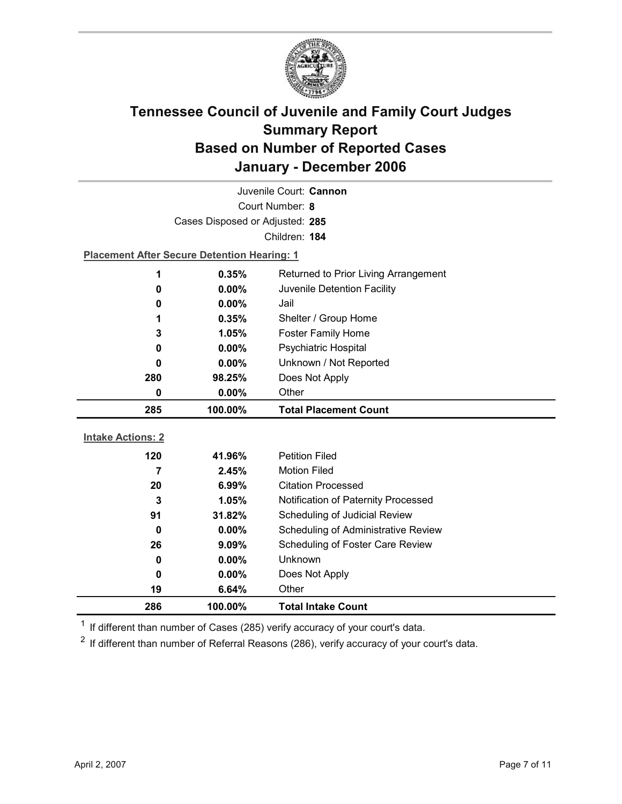

| Juvenile Court: Cannon   |                                                    |                                     |  |  |
|--------------------------|----------------------------------------------------|-------------------------------------|--|--|
| Court Number: 8          |                                                    |                                     |  |  |
|                          | Cases Disposed or Adjusted: 285                    |                                     |  |  |
|                          |                                                    | Children: 184                       |  |  |
|                          | <b>Placement After Secure Detention Hearing: 1</b> |                                     |  |  |
| 1                        | 0.35%<br>Returned to Prior Living Arrangement      |                                     |  |  |
| 0                        | $0.00\%$                                           | Juvenile Detention Facility         |  |  |
| 0                        | 0.00%                                              | Jail                                |  |  |
| 1                        | 0.35%                                              | Shelter / Group Home                |  |  |
| 3                        | 1.05%                                              | <b>Foster Family Home</b>           |  |  |
| 0                        | Psychiatric Hospital<br>0.00%                      |                                     |  |  |
| 0                        | Unknown / Not Reported<br>$0.00\%$                 |                                     |  |  |
| 280                      | Does Not Apply<br>98.25%                           |                                     |  |  |
| 0                        | Other<br>$0.00\%$                                  |                                     |  |  |
|                          |                                                    |                                     |  |  |
| 285                      | 100.00%                                            | <b>Total Placement Count</b>        |  |  |
|                          |                                                    |                                     |  |  |
| <b>Intake Actions: 2</b> |                                                    |                                     |  |  |
| 120                      | 41.96%                                             | <b>Petition Filed</b>               |  |  |
| 7                        | 2.45%                                              | <b>Motion Filed</b>                 |  |  |
| 20                       | 6.99%                                              | <b>Citation Processed</b>           |  |  |
| $\mathbf{3}$             | 1.05%                                              | Notification of Paternity Processed |  |  |
| 91                       | 31.82%                                             | Scheduling of Judicial Review       |  |  |
| 0                        | 0.00%                                              | Scheduling of Administrative Review |  |  |
| 26                       | 9.09%                                              | Scheduling of Foster Care Review    |  |  |
| 0                        | $0.00\%$                                           | Unknown                             |  |  |
| 0                        | $0.00\%$                                           | Does Not Apply                      |  |  |
| 19<br>286                | 6.64%<br>100.00%                                   | Other<br><b>Total Intake Count</b>  |  |  |

 $1$  If different than number of Cases (285) verify accuracy of your court's data.

 $2$  If different than number of Referral Reasons (286), verify accuracy of your court's data.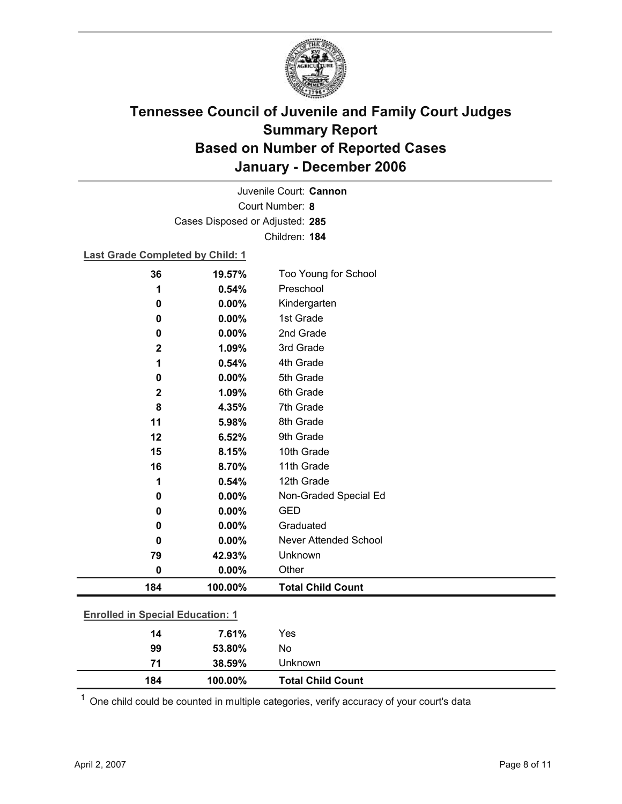

Court Number: **8** Juvenile Court: **Cannon** Cases Disposed or Adjusted: **285** Children: **184**

#### **Last Grade Completed by Child: 1**

| 36                                      | 19.57%   | Too Young for School     |  |
|-----------------------------------------|----------|--------------------------|--|
| 1                                       | 0.54%    | Preschool                |  |
| 0                                       | $0.00\%$ | Kindergarten             |  |
| 0                                       | 0.00%    | 1st Grade                |  |
| 0                                       | 0.00%    | 2nd Grade                |  |
| $\mathbf 2$                             | 1.09%    | 3rd Grade                |  |
| 1                                       | 0.54%    | 4th Grade                |  |
| 0                                       | 0.00%    | 5th Grade                |  |
| $\mathbf 2$                             | 1.09%    | 6th Grade                |  |
| 8                                       | 4.35%    | 7th Grade                |  |
| 11                                      | 5.98%    | 8th Grade                |  |
| 12                                      | 6.52%    | 9th Grade                |  |
| 15                                      | 8.15%    | 10th Grade               |  |
| 16                                      | 8.70%    | 11th Grade               |  |
| 1                                       | 0.54%    | 12th Grade               |  |
| 0                                       | 0.00%    | Non-Graded Special Ed    |  |
| 0                                       | 0.00%    | <b>GED</b>               |  |
| 0                                       | 0.00%    | Graduated                |  |
| 0                                       | 0.00%    | Never Attended School    |  |
| 79                                      | 42.93%   | Unknown                  |  |
| 0                                       | 0.00%    | Other                    |  |
| 184                                     | 100.00%  | <b>Total Child Count</b> |  |
| <b>Enrolled in Special Education: 1</b> |          |                          |  |
|                                         |          |                          |  |
| 14                                      | 7.61%    | Yes                      |  |
| 99                                      | 53.80%   | No                       |  |

 $1$  One child could be counted in multiple categories, verify accuracy of your court's data

**71 38.59%** Unknown

**184 100.00% Total Child Count**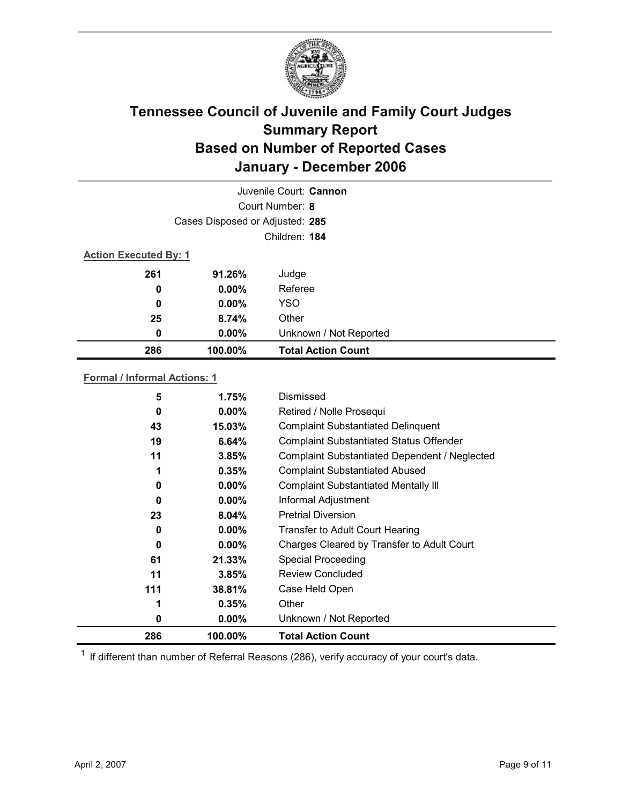

| Juvenile Court: Cannon       |                                 |                           |  |  |
|------------------------------|---------------------------------|---------------------------|--|--|
|                              | Court Number: 8                 |                           |  |  |
|                              | Cases Disposed or Adjusted: 285 |                           |  |  |
|                              | Children: 184                   |                           |  |  |
| <b>Action Executed By: 1</b> |                                 |                           |  |  |
| 261                          | 91.26%                          | Judge                     |  |  |
| 0                            | $0.00\%$                        | Referee                   |  |  |
| 0                            | $0.00\%$                        | YSO                       |  |  |
| 25                           | 8.74%                           | Other                     |  |  |
| 0                            | $0.00\%$                        | Unknown / Not Reported    |  |  |
| 286                          | 100.00%                         | <b>Total Action Count</b> |  |  |

#### **Formal / Informal Actions: 1**

| 5   | 1.75%    | Dismissed                                      |
|-----|----------|------------------------------------------------|
| 0   | $0.00\%$ | Retired / Nolle Prosequi                       |
| 43  | 15.03%   | <b>Complaint Substantiated Delinquent</b>      |
| 19  | 6.64%    | <b>Complaint Substantiated Status Offender</b> |
| 11  | 3.85%    | Complaint Substantiated Dependent / Neglected  |
| 1   | 0.35%    | <b>Complaint Substantiated Abused</b>          |
| 0   | $0.00\%$ | <b>Complaint Substantiated Mentally III</b>    |
| 0   | $0.00\%$ | Informal Adjustment                            |
| 23  | $8.04\%$ | <b>Pretrial Diversion</b>                      |
| 0   | $0.00\%$ | <b>Transfer to Adult Court Hearing</b>         |
| 0   | $0.00\%$ | Charges Cleared by Transfer to Adult Court     |
| 61  | 21.33%   | <b>Special Proceeding</b>                      |
| 11  | 3.85%    | <b>Review Concluded</b>                        |
| 111 | 38.81%   | Case Held Open                                 |
| 1   | 0.35%    | Other                                          |
| 0   | $0.00\%$ | Unknown / Not Reported                         |
| 286 | 100.00%  | <b>Total Action Count</b>                      |

 $1$  If different than number of Referral Reasons (286), verify accuracy of your court's data.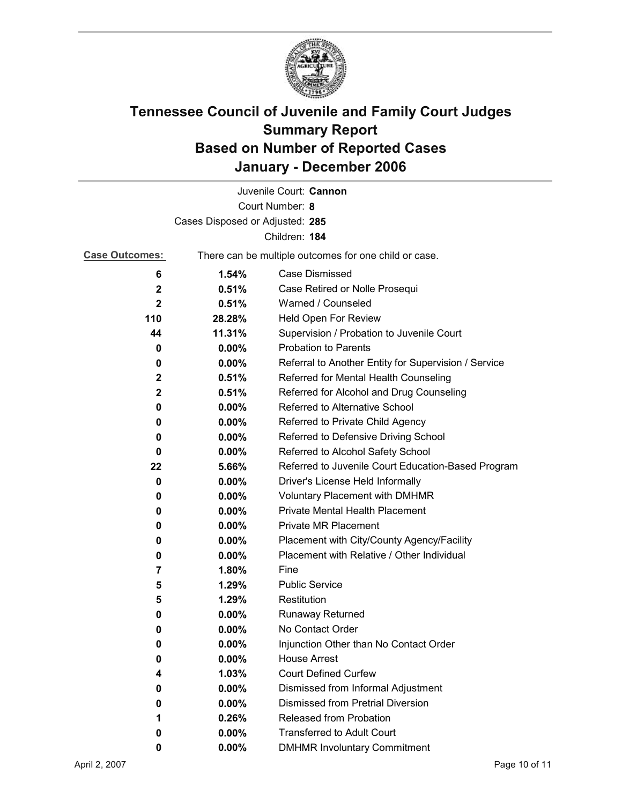

|                                 |                                                       | Juvenile Court: Cannon                               |  |
|---------------------------------|-------------------------------------------------------|------------------------------------------------------|--|
|                                 |                                                       | Court Number: 8                                      |  |
| Cases Disposed or Adjusted: 285 |                                                       |                                                      |  |
| Children: 184                   |                                                       |                                                      |  |
| <b>Case Outcomes:</b>           | There can be multiple outcomes for one child or case. |                                                      |  |
| 6                               | 1.54%                                                 | Case Dismissed                                       |  |
| $\mathbf 2$                     | 0.51%                                                 | Case Retired or Nolle Prosequi                       |  |
| $\mathbf{2}$                    | 0.51%                                                 | Warned / Counseled                                   |  |
| 110                             | 28.28%                                                | Held Open For Review                                 |  |
| 44                              | 11.31%                                                | Supervision / Probation to Juvenile Court            |  |
| 0                               | 0.00%                                                 | <b>Probation to Parents</b>                          |  |
| 0                               | $0.00\%$                                              | Referral to Another Entity for Supervision / Service |  |
| 2                               | 0.51%                                                 | Referred for Mental Health Counseling                |  |
| $\mathbf{2}$                    | 0.51%                                                 | Referred for Alcohol and Drug Counseling             |  |
| 0                               | $0.00\%$                                              | <b>Referred to Alternative School</b>                |  |
| 0                               | $0.00\%$                                              | Referred to Private Child Agency                     |  |
| 0                               | $0.00\%$                                              | Referred to Defensive Driving School                 |  |
| 0                               | $0.00\%$                                              | Referred to Alcohol Safety School                    |  |
| 22                              | 5.66%                                                 | Referred to Juvenile Court Education-Based Program   |  |
| 0                               | $0.00\%$                                              | Driver's License Held Informally                     |  |
| 0                               | $0.00\%$                                              | <b>Voluntary Placement with DMHMR</b>                |  |
| 0                               | $0.00\%$                                              | <b>Private Mental Health Placement</b>               |  |
| 0                               | $0.00\%$                                              | <b>Private MR Placement</b>                          |  |
| 0                               | $0.00\%$                                              | Placement with City/County Agency/Facility           |  |
| 0                               | 0.00%                                                 | Placement with Relative / Other Individual           |  |
| 7                               | 1.80%                                                 | Fine                                                 |  |
| 5                               | 1.29%                                                 | <b>Public Service</b>                                |  |
| 5                               | 1.29%                                                 | Restitution                                          |  |
| 0                               | $0.00\%$                                              | <b>Runaway Returned</b>                              |  |
| 0                               | $0.00\%$                                              | No Contact Order                                     |  |
| 0                               | 0.00%                                                 | Injunction Other than No Contact Order               |  |
| 0                               | 0.00%                                                 | <b>House Arrest</b>                                  |  |
| 4                               | 1.03%                                                 | <b>Court Defined Curfew</b>                          |  |
| 0                               | $0.00\%$                                              | Dismissed from Informal Adjustment                   |  |
| 0                               | 0.00%                                                 | <b>Dismissed from Pretrial Diversion</b>             |  |
| 1                               | 0.26%                                                 | Released from Probation                              |  |
| 0                               | $0.00\%$                                              | <b>Transferred to Adult Court</b>                    |  |
| 0                               | $0.00\%$                                              | <b>DMHMR Involuntary Commitment</b>                  |  |